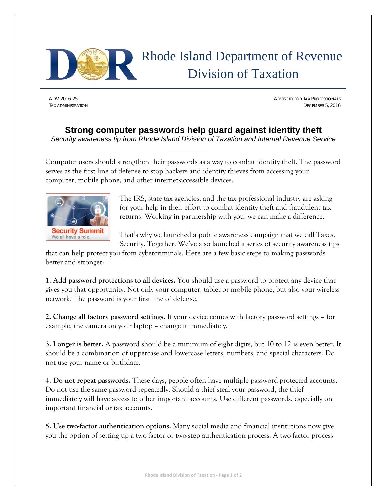

## Rhode Island Department of Revenue Division of Taxation

ADV 2016-25 ADVISORY FOR TAX PROFESSIONALS TAX ADMINISTRATION DECEMBER 5, 2016

## **Strong computer passwords help guard against identity theft**

*Security awareness tip from Rhode Island Division of Taxation and Internal Revenue Service* 

Computer users should strengthen their passwords as a way to combat identity theft. The password serves as the first line of defense to stop hackers and identity thieves from accessing your computer, mobile phone, and other internet-accessible devices.



The IRS, state tax agencies, and the tax professional industry are asking for your help in their effort to combat identity theft and fraudulent tax returns. Working in partnership with you, we can make a difference.

That's why we launched a public awareness campaign that we call Taxes. Security. Together. We've also launched a series of security awareness tips

that can help protect you from cybercriminals. Here are a few basic steps to making passwords better and stronger:

**1. Add password protections to all devices.** You should use a password to protect any device that gives you that opportunity. Not only your computer, tablet or mobile phone, but also your wireless network. The password is your first line of defense.

**2. Change all factory password settings.** If your device comes with factory password settings – for example, the camera on your laptop – change it immediately.

**3. Longer is better.** A password should be a minimum of eight digits, but 10 to 12 is even better. It should be a combination of uppercase and lowercase letters, numbers, and special characters. Do not use your name or birthdate.

**4. Do not repeat passwords.** These days, people often have multiple password-protected accounts. Do not use the same password repeatedly. Should a thief steal your password, the thief immediately will have access to other important accounts. Use different passwords, especially on important financial or tax accounts.

**5. Use two-factor authentication options.** Many social media and financial institutions now give you the option of setting up a two-factor or two-step authentication process. A two-factor process